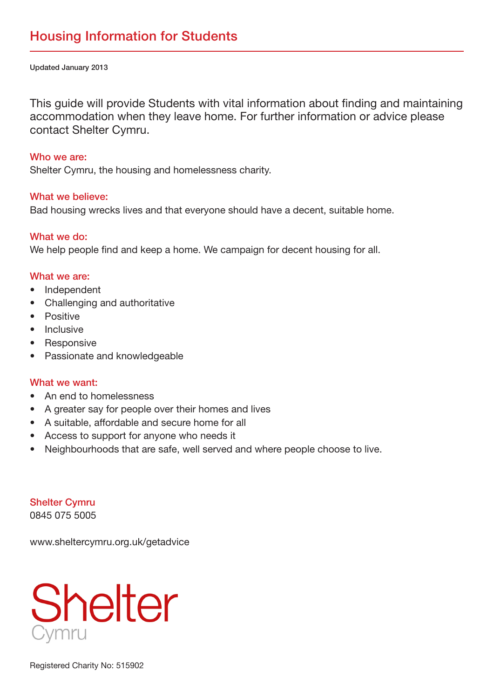Updated January 2013

This guide will provide Students with vital information about finding and maintaining accommodation when they leave home. For further information or advice please contact Shelter Cymru.

#### Who we are:

Shelter Cymru, the housing and homelessness charity.

### What we believe:

. Bad housing wrecks lives and that everyone should have a decent, suitable home.

# What we do:

We help people find and keep a home. We campaign for decent housing for all.

#### What we are:

- Independent
- Challenging and authoritative
- Positive
- Inclusive
- Responsive
- Passionate and knowledgeable

#### What we want:

- An end to homelessness
- A greater say for people over their homes and lives
- A suitable, affordable and secure home for all
- Access to support for anyone who needs it
- Neighbourhoods that are safe, well served and where people choose to live.

**Shelter Cymru** 0845 075 5005

www.sheltercymru.org.uk/getadvice

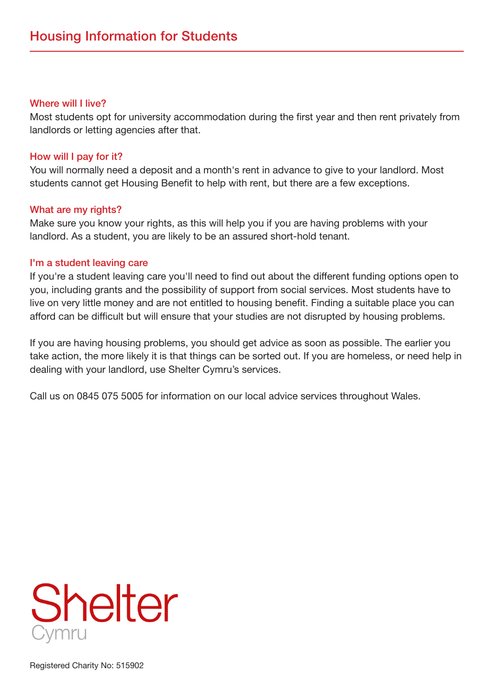#### Where will I live?

Most students opt for university accommodation during the first year and then rent privately from landlords or letting agencies after that.

# How will I pay for it?

You will normally need a deposit and a month's rent in advance to give to your landlord. Most students cannot get Housing Benefit to help with rent, but there are a few exceptions.

### What are my rights?

Make sure you know your rights, as this will help you if you are having problems with your landlord. As a student, you are likely to be an assured short-hold tenant.

### I'm a student leaving care

If you're a student leaving care you'll need to find out about the different funding options open to you, including grants and the possibility of support from social services. Most students have to live on very little money and are not entitled to housing benefit. Finding a suitable place you can afford can be difficult but will ensure that your studies are not disrupted by housing problems.

If you are having housing problems, you should get advice as soon as possible. The earlier you take action, the more likely it is that things can be sorted out. If you are homeless, or need help in dealing with your landlord, use Shelter Cymru's services.

Call us on 0845 075 5005 for information on our local advice services throughout Wales.

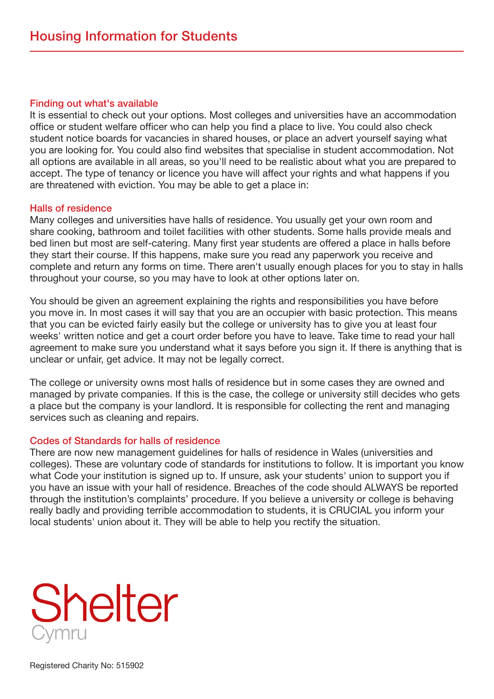#### Finding out what's available

It is essential to check out your options. Most colleges and universities have an accommodation office or student welfare officer who can help you find a place to live. You could also check student notice boards for vacancies in shared houses, or place an advert yourself saying what you are looking for. You could also find websites that specialise in student accommodation. Not all options are available in all areas, so you'll need to be realistic about what you are prepared to accept. The type of tenancy or licence you have will affect your rights and what happens if you are threatened with eviction. You may be able to get a place in:

### Halls of residence

Many colleges and universities have halls of residence. You usually get your own room and share cooking, bathroom and toilet facilities with other students. Some halls provide meals and bed linen but most are self-catering. Many first year students are offered a place in halls before they start their course. If this happens, make sure you read any paperwork you receive and complete and return any forms on time. There aren't usually enough places for you to stay in halls throughout your course, so you may have to look at other options later on.

You should be given an agreement explaining the rights and responsibilities you have before you move in. In most cases it will say that you are an occupier with basic protection. This means that you can be evicted fairly easily but the college or university has to give you at least four weeks' written notice and get a court order before you have to leave. Take time to read your hall agreement to make sure you understand what it says before you sign it. If there is anything that is unclear or unfair, get advice. It may not be legally correct.

The college or university owns most halls of residence but in some cases they are owned and managed by private companies. If this is the case, the college or university still decides who gets a place but the company is your landlord. It is responsible for collecting the rent and managing services such as cleaning and repairs.

# **Codes of Standards for halls of residence**

There are now new management quidelines for halls of residence in Wales (universities and colleges). These are voluntary code of standards for institutions to follow. It is important you know what Code your institution is signed up to. If unsure, ask your students' union to support you if you have an issue with your hall of residence. Breaches of the code should ALWAYS be reported through the institution's complaints' procedure. If you believe a university or college is behaving really badly and providing terrible accommodation to students, it is CRUCIAL you inform your local students' union about it. They will be able to help you rectify the situation.

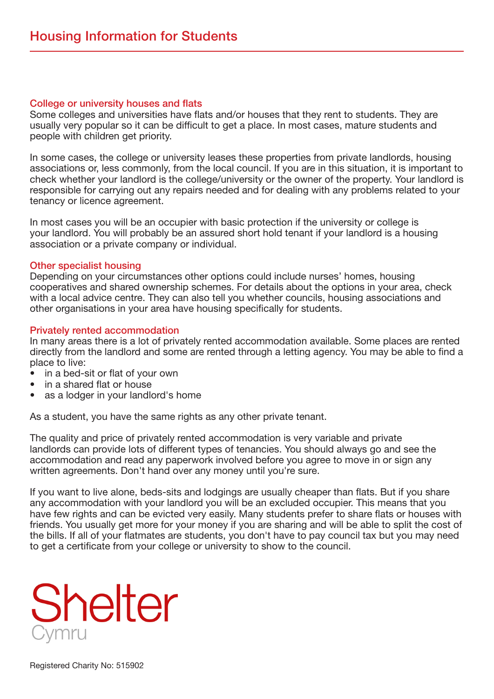#### College or university houses and flats

Some colleges and universities have flats and/or houses that they rent to students. They are usually very popular so it can be difficult to get a place. In most cases, mature students and people with children get priority.

In some cases, the college or university leases these properties from private landlords, housing associations or, less commonly, from the local council. If you are in this situation, it is important to check whether your landlord is the college/university or the owner of the property. Your landlord is responsible for carrying out any repairs needed and for dealing with any problems related to your tenancy or licence agreement.

In most cases you will be an occupier with basic protection if the university or college is your landlord. You will probably be an assured short hold tenant if your landlord is a housing association or a private company or individual.

#### Other specialist housing

Depending on your circumstances other options could include nurses' homes, housing cooperatives and shared ownership schemes. For details about the options in your area, check with a local advice centre. They can also tell you whether councils, housing associations and other organisations in your area have housing specifically for students.

#### **Privately rented accommodation**

In many areas there is a lot of privately rented accommodation available. Some places are rented directly from the landlord and some are rented through a letting agency. You may be able to find a place to live:

- in a bed-sit or flat of your own
- in a shared flat or house
- as a lodger in your landlord's home

As a student, you have the same rights as any other private tenant.

The quality and price of privately rented accommodation is very variable and private landlords can provide lots of different types of tenancies. You should always go and see the accommodation and read any paperwork involved before you agree to move in or sign any written agreements. Don't hand over any money until you're sure.

If you want to live alone, beds-sits and lodgings are usually cheaper than flats. But if you share any accommodation with your landlord you will be an excluded occupier. This means that you have few rights and can be evicted very easily. Many students prefer to share flats or houses with friends. You usually get more for your money if you are sharing and will be able to split the cost of the bills. If all of your flatmates are students, you don't have to pay council tax but you may need to get a certificate from your college or university to show to the council.

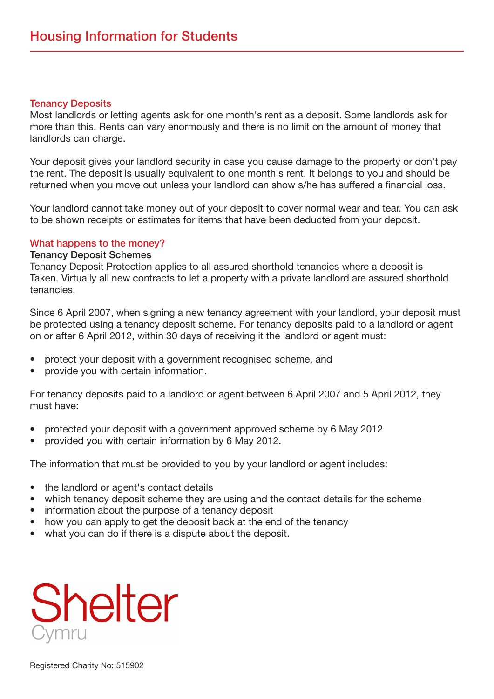#### **Tenancy Deposits**

Most landlords or letting agents ask for one month's rent as a deposit. Some landlords ask for more than this. Rents can vary enormously and there is no limit on the amount of money that landlords can charge.

Your deposit gives your landlord security in case you cause damage to the property or don't pay the rent. The deposit is usually equivalent to one month's rent. It belongs to you and should be returned when you move out unless your landlord can show s/he has suffered a financial loss.

Your landlord cannot take money out of your deposit to cover normal wear and tear. You can ask to be shown receipts or estimates for items that have been deducted from your deposit.

# What happens to the money?

# **Tenancy Deposit Schemes**

Tenancy Deposit Protection applies to all assured shorthold tenancies where a deposit is Taken. Virtually all new contracts to let a property with a private landlord are assured shorthold .tenancies

Since 6 April 2007, when signing a new tenancy agreement with your landlord, your deposit must be protected using a tenancy deposit scheme. For tenancy deposits paid to a landlord or agent on or after 6 April 2012, within 30 days of receiving it the landlord or agent must:

- protect your deposit with a government recognised scheme, and
- provide you with certain information.

For tenancy deposits paid to a landlord or agent between 6 April 2007 and 5 April 2012, they must have:

- protected your deposit with a government approved scheme by 6 May 2012
- provided you with certain information by 6 May 2012.

The information that must be provided to you by your landlord or agent includes:

- the landlord or agent's contact details
- which tenancy deposit scheme they are using and the contact details for the scheme
- information about the purpose of a tenancy deposit
- how you can apply to get the deposit back at the end of the tenancy
- what you can do if there is a dispute about the deposit.

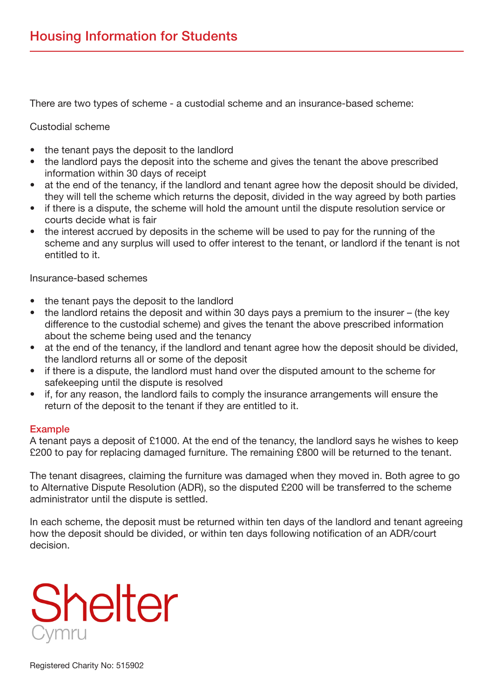There are two types of scheme - a custodial scheme and an insurance-based scheme:

# Custodial scheme

- the tenant pays the deposit to the landlord
- the landlord pays the deposit into the scheme and gives the tenant the above prescribed information within 30 days of receipt
- at the end of the tenancy, if the landlord and tenant agree how the deposit should be divided, they will tell the scheme which returns the deposit, divided in the way agreed by both parties
- if there is a dispute, the scheme will hold the amount until the dispute resolution service or courts decide what is fair
- the interest accrued by deposits in the scheme will be used to pay for the running of the scheme and any surplus will used to offer interest to the tenant, or landlord if the tenant is not entitled to it.

Insurance-based schemes

- the tenant pays the deposit to the landlord
- the landlord retains the deposit and within 30 days pays a premium to the insurer  $-$  (the key difference to the custodial scheme) and gives the tenant the above prescribed information about the scheme being used and the tenancy
- at the end of the tenancy, if the landlord and tenant agree how the deposit should be divided, the landlord returns all or some of the deposit
- if there is a dispute, the landlord must hand over the disputed amount to the scheme for safekeeping until the dispute is resolved
- if, for any reason, the landlord fails to comply the insurance arrangements will ensure the return of the deposit to the tenant if they are entitled to it.

# Example

A tenant pays a deposit of £1000. At the end of the tenancy, the landlord says he wishes to keep £200 to pay for replacing damaged furniture. The remaining £800 will be returned to the tenant.

The tenant disagrees, claiming the furniture was damaged when they moved in. Both agree to go to Alternative Dispute Resolution (ADR), so the disputed £200 will be transferred to the scheme administrator until the dispute is settled.

In each scheme, the deposit must be returned within ten days of the landlord and tenant agreeing how the deposit should be divided, or within ten days following notification of an ADR/court .decision

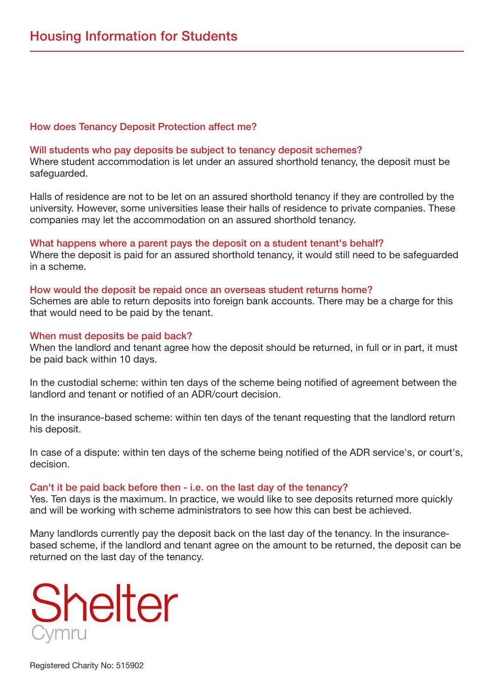### How does Tenancy Deposit Protection affect me?

#### Will students who pay deposits be subject to tenancy deposit schemes?

Where student accommodation is let under an assured shorthold tenancy, the deposit must be safeguarded.

Halls of residence are not to be let on an assured shorthold tenancy if they are controlled by the university. However, some universities lease their halls of residence to private companies. These companies may let the accommodation on an assured shorthold tenancy.

#### What happens where a parent pays the deposit on a student tenant's behalf?

Where the deposit is paid for an assured shorthold tenancy, it would still need to be safeguarded in a scheme.

#### How would the deposit be repaid once an overseas student returns home?

Schemes are able to return deposits into foreign bank accounts. There may be a charge for this that would need to be paid by the tenant.

#### When must deposits be paid back?

When the landlord and tenant agree how the deposit should be returned, in full or in part, it must be paid back within 10 days.

In the custodial scheme: within ten days of the scheme being notified of agreement between the landlord and tenant or notified of an ADR/court decision.

In the insurance-based scheme: within ten days of the tenant requesting that the landlord return his deposit.

In case of a dispute; within ten days of the scheme being notified of the ADR service's, or court's, .decision

#### Can't it be paid back before then - i.e. on the last day of the tenancy?

Yes. Ten days is the maximum. In practice, we would like to see deposits returned more quickly and will be working with scheme administrators to see how this can best be achieved.

based scheme, if the landlord and tenant agree on the amount to be returned, the deposit can be Many landlords currently pay the deposit back on the last day of the tenancy. In the insurancereturned on the last day of the tenancy.

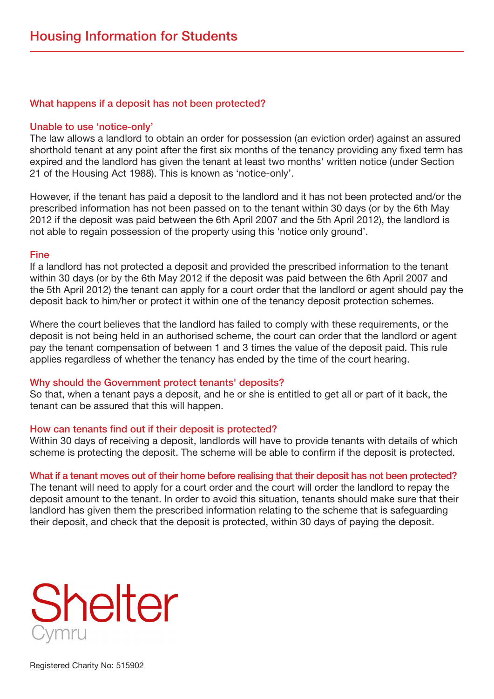### What happens if a deposit has not been protected?

#### Unable to use 'notice-only'

The law allows a landlord to obtain an order for possession (an eviction order) against an assured shorthold tenant at any point after the first six months of the tenancy providing any fixed term has expired and the landlord has given the tenant at least two months' written notice (under Section 21 of the Housing Act 1988). This is known as 'notice-only'.

However, if the tenant has paid a deposit to the landlord and it has not been protected and/or the prescribed information has not been passed on to the tenant within 30 days (or by the 6th May 2012 if the deposit was paid between the 6th April 2007 and the 5th April 2012), the landlord is not able to regain possession of the property using this 'notice only ground'.

#### Fine

If a landlord has not protected a deposit and provided the prescribed information to the tenant within 30 days (or by the 6th May 2012 if the deposit was paid between the 6th April 2007 and the 5th April 2012) the tenant can apply for a court order that the landlord or agent should pay the deposit back to him/her or protect it within one of the tenancy deposit protection schemes.

Where the court believes that the landlord has failed to comply with these requirements, or the deposit is not being held in an authorised scheme, the court can order that the landlord or agent pay the tenant compensation of between 1 and 3 times the value of the deposit paid. This rule applies regardless of whether the tenancy has ended by the time of the court hearing.

#### Why should the Government protect tenants' deposits?

So that, when a tenant pays a deposit, and he or she is entitled to get all or part of it back, the tenant can be assured that this will happen.

#### How can tenants find out if their deposit is protected?

Within 30 days of receiving a deposit, landlords will have to provide tenants with details of which scheme is protecting the deposit. The scheme will be able to confirm if the deposit is protected.

#### What if a tenant moves out of their home before realising that their deposit has not been protected?

The tenant will need to apply for a court order and the court will order the landlord to repay the deposit amount to the tenant. In order to avoid this situation, tenants should make sure that their landlord has given them the prescribed information relating to the scheme that is safeguarding their deposit, and check that the deposit is protected, within 30 days of paying the deposit.

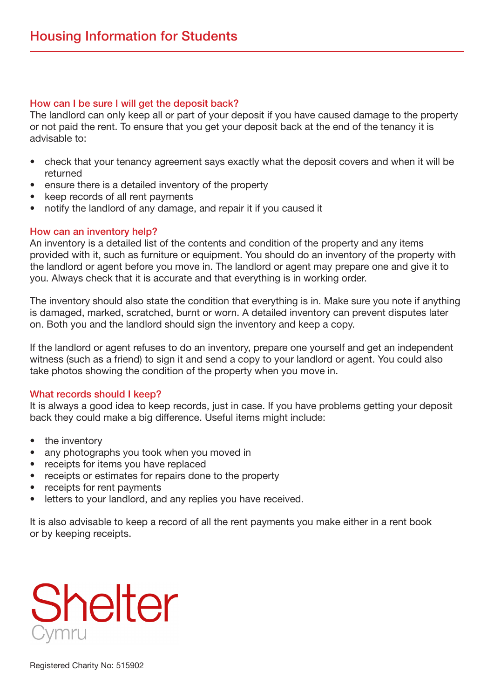# How can I be sure I will get the deposit back?

The landlord can only keep all or part of your deposit if you have caused damage to the property or not paid the rent. To ensure that you get your deposit back at the end of the tenancy it is advisable to:

- be check that your tenancy agreement says exactly what the deposit covers and when it will be returned
- ensure there is a detailed inventory of the property
- keep records of all rent payments
- notify the landlord of any damage, and repair it if you caused it

# How can an inventory help?

An inventory is a detailed list of the contents and condition of the property and any items provided with it, such as furniture or equipment. You should do an inventory of the property with the landlord or agent before you move in. The landlord or agent may prepare one and give it to you. Always check that it is accurate and that everything is in working order.

The inventory should also state the condition that everything is in. Make sure you note if anything is damaged, marked, scratched, burnt or worn. A detailed inventory can prevent disputes later on. Both you and the landlord should sign the inventory and keep a copy.

If the land ord or agent refuses to do an inventory, prepare one yourself and get an independent witness (such as a friend) to sign it and send a copy to your landlord or agent. You could also take photos showing the condition of the property when you move in.

# What records should I keep?

It is always a good idea to keep records, just in case. If you have problems getting your deposit back they could make a big difference. Useful items might include:

- the inventory
- any photographs you took when you moved in
- receipts for items you have replaced
- receipts or estimates for repairs done to the property
- receipts for rent payments
- letters to your landlord, and any replies you have received.

It is also advisable to keep a record of all the rent payments you make either in a rent book or by keeping receipts.

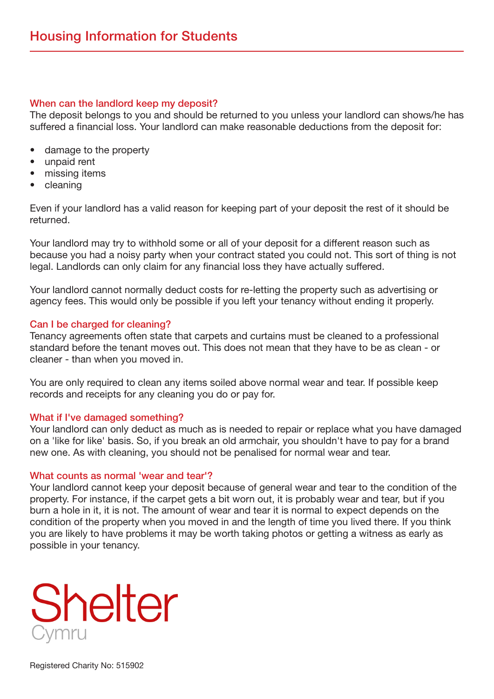### When can the landlord keep my deposit?

The deposit belongs to you and should be returned to you unless your landlord can shows/he has suffered a financial loss. Your landlord can make reasonable deductions from the deposit for:

- damage to the property
- unpaid rent
- missing items
- cleaning

Even if your landlord has a valid reason for keeping part of your deposit the rest of it should be .returned

Your landlord may try to withhold some or all of your deposit for a different reason such as because you had a noisy party when your contract stated you could not. This sort of thing is not legal. Landlords can only claim for any financial loss they have actually suffered.

Your landlord cannot normally deduct costs for re-letting the property such as advertising or agency fees. This would only be possible if you left your tenancy without ending it properly.

#### Can I be charged for cleaning?

Tenancy agreements often state that carpets and curtains must be cleaned to a professional standard before the tenant moves out. This does not mean that they have to be as clean - or cleaner - than when you moved in.

You are only required to clean any items soiled above normal wear and tear. If possible keep records and receipts for any cleaning you do or pay for.

#### What if I've damaged something?

Your landlord can only deduct as much as is needed to repair or replace what you have damaged on a 'like for like' basis. So, if you break an old armchair, you shouldn't have to pay for a brand new one. As with cleaning, you should not be penalised for normal wear and tear.

#### What counts as normal 'wear and tear'?

Your landlord cannot keep your deposit because of general wear and tear to the condition of the property. For instance, if the carpet gets a bit worn out, it is probably wear and tear, but if you burn a hole in it, it is not. The amount of wear and tear it is normal to expect depends on the condition of the property when you moved in and the length of time you lived there. If you think you are likely to have problems it may be worth taking photos or getting a witness as early as possible in your tenancy.

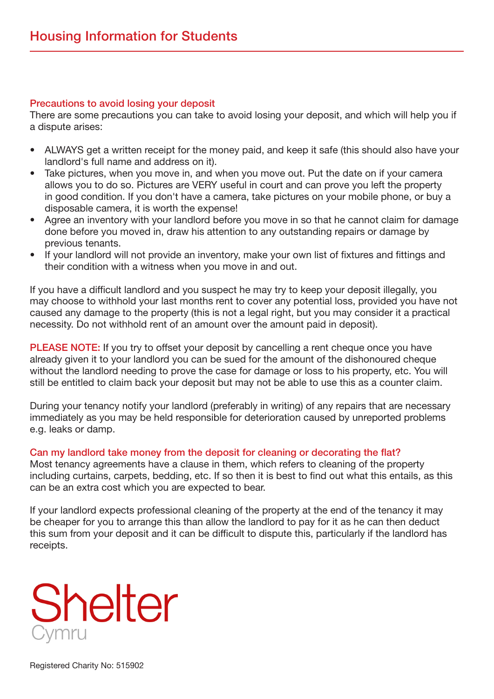# Precautions to avoid losing your deposit

There are some precautions you can take to avoid losing your deposit, and which will help you if a dispute arises:

- ALWAYS get a written receipt for the money paid, and keep it safe (this should also have your landlord's full name and address on it).
- Take pictures, when you move in, and when you move out. Put the date on if your camera allows you to do so. Pictures are VERY useful in court and can prove you left the property in good condition. If you don't have a camera, take pictures on your mobile phone, or buy a disposable camera, it is worth the expense!
- Agree an inventory with your landlord before you move in so that he cannot claim for damage done before you moved in, draw his attention to any outstanding repairs or damage by previous tenants.
- If your landlord will not provide an inventory, make your own list of fixtures and fittings and their condition with a witness when you move in and out.

If you have a difficult landlord and you suspect he may try to keep your deposit illegally, you may choose to withhold your last months rent to cover any potential loss, provided you have not caused any damage to the property (this is not a legal right, but you may consider it a practical necessity. Do not withhold rent of an amount over the amount paid in deposit).

**PLEASE NOTE:** If you try to offset your deposit by cancelling a rent cheque once you have already given it to your landlord you can be sued for the amount of the dishonoured cheque without the landlord needing to prove the case for damage or loss to his property, etc. You will still be entitled to claim back your deposit but may not be able to use this as a counter claim.

During your tenancy notify your landlord (preferably in writing) of any repairs that are necessary immediately as you may be held responsible for deterioration caused by unreported problems e.g. leaks or damp.

# Can my landlord take money from the deposit for cleaning or decorating the flat?

Most tenancy agreements have a clause in them, which refers to cleaning of the property including curtains, carpets, bedding, etc. If so then it is best to find out what this entails, as this can be an extra cost which you are expected to bear.

If your landlord expects professional cleaning of the property at the end of the tenancy it may be cheaper for you to arrange this than allow the landlord to pay for it as he can then deduct this sum from your deposit and it can be difficult to dispute this, particularly if the land lord has .receipts

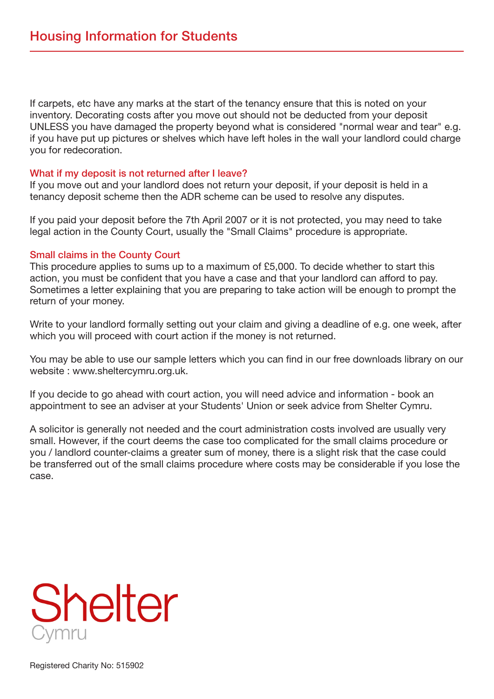If carpets, etc have any marks at the start of the tenancy ensure that this is noted on your inventory. Decorating costs after you move out should not be deducted from your deposit UNLESS you have damaged the property beyond what is considered "normal wear and tear" e.g. if you have put up pictures or shelves which have left holes in the wall your landlord could charge you for redecoration.

#### What if my deposit is not returned after I leave?

If you move out and your landlord does not return your deposit, if your deposit is held in a tenancy deposit scheme then the ADR scheme can be used to resolve any disputes.

If you paid your deposit before the 7th April 2007 or it is not protected, you may need to take legal action in the County Court, usually the "Small Claims" procedure is appropriate.

# Small claims in the County Court

This procedure applies to sums up to a maximum of £5,000. To decide whether to start this action, you must be confident that you have a case and that your landlord can afford to pay. Sometimes a letter explaining that you are preparing to take action will be enough to prompt the return of your money.

Write to your landlord formally setting out your claim and giving a deadline of e.g. one week, after which you will proceed with court action if the money is not returned.

You may be able to use our sample letters which you can find in our free downloads library on our website : www.sheltercymru.org.uk.

If you decide to go ahead with court action, you will need advice and information - book an appointment to see an adviser at your Students' Union or seek advice from Shelter Cymru.

A solicitor is generally not needed and the court administration costs involved are usually very small. However, if the court deems the case too complicated for the small claims procedure or you / landlord counter-claims a greater sum of money, there is a slight risk that the case could be transferred out of the small claims procedure where costs may be considerable if you lose the .case

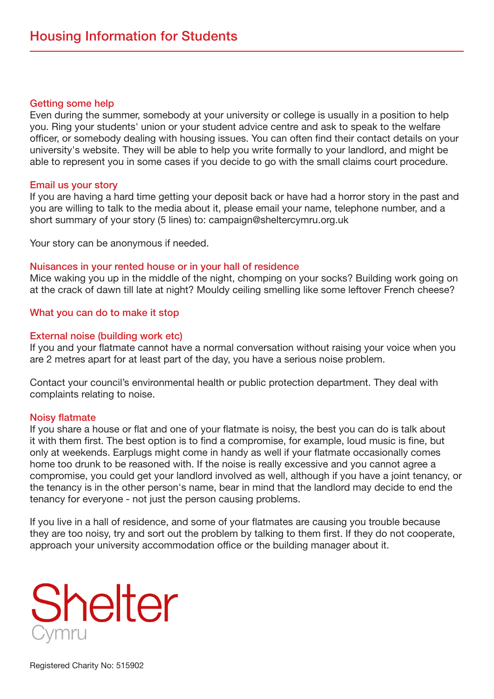#### **Getting some help**

Even during the summer, somebody at your university or college is usually in a position to help you. Ring your students' union or your student advice centre and ask to speak to the welfare officer, or somebody dealing with housing issues. You can often find their contact details on your university's website. They will be able to help you write formally to your landlord, and might be able to represent you in some cases if you decide to go with the small claims court procedure.

#### Email us your story

If you are having a hard time getting your deposit back or have had a horror story in the past and you are willing to talk to the media about it, please email your name, telephone number, and a short summary of your story (5 lines) to: campaign@sheltercymru.org.uk

Your story can be anonymous if needed.

### Nuisances in your rented house or in your hall of residence

Mice waking you up in the middle of the night, chomping on your socks? Building work going on at the crack of dawn till late at night? Mouldy ceiling smelling like some leftover French cheese?

# What you can do to make it stop

### External noise (building work etc)

If you and your flatmate cannot have a normal conversation without raising your voice when you are 2 metres apart for at least part of the day, you have a serious noise problem.

Contact your council's environmental health or public protection department. They deal with complaints relating to noise.

#### Noisy flatmate

If you share a house or flat and one of your flatmate is noisy, the best you can do is talk about it with them first. The best option is to find a compromise, for example, loud music is fine, but only at weekends. Earplugs might come in handy as well if your flatmate occasionally comes home too drunk to be reasoned with. If the noise is really excessive and you cannot agree a compromise, you could get your landlord involved as well, although if you have a joint tenancy, or the tenancy is in the other person's name, bear in mind that the landlord may decide to end the tenancy for everyone - not just the person causing problems.

If you live in a hall of residence, and some of your flatmates are causing you trouble because they are too noisy, try and sort out the problem by talking to them first. If they do not cooperate, approach your university accommodation office or the building manager about it.

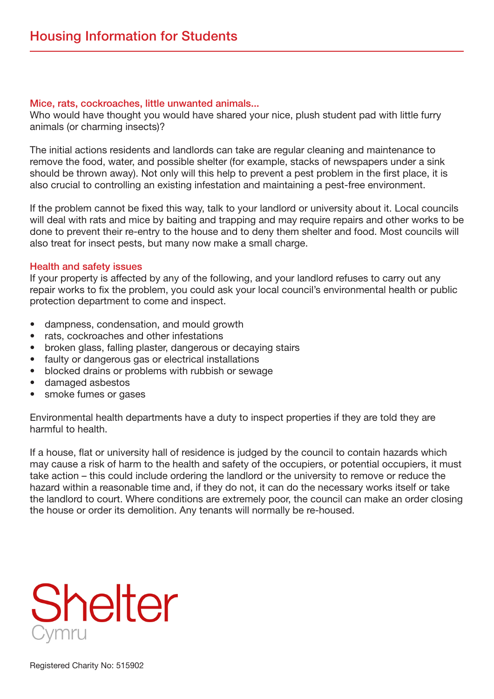#### Mice, rats, cockroaches, little unwanted animals...

Who would have thought you would have shared your nice, plush student pad with little furry animals (or charming insects)?

The initial actions residents and landlords can take are regular cleaning and maintenance to remove the food, water, and possible shelter (for example, stacks of newspapers under a sink should be thrown away). Not only will this help to prevent a pest problem in the first place, it is also crucial to controlling an existing infestation and maintaining a pest-free environment.

If the problem cannot be fixed this way, talk to your landlord or university about it. Local councils will deal with rats and mice by baiting and trapping and may require repairs and other works to be done to prevent their re-entry to the house and to deny them shelter and food. Most councils will also treat for insect pests, but many now make a small charge.

# Health and safety issues

If your property is affected by any of the following, and your landlord refuses to carry out any repair works to fix the problem, you could ask your local council's environmental health or public protection department to come and inspect.

- dampness, condensation, and mould growth
- rats, cockroaches and other infestations
- broken glass, falling plaster, dangerous or decaying stairs
- faulty or dangerous gas or electrical installations
- blocked drains or problems with rubbish or sewage
- damaged asbestos
- smoke fumes or gases

Environmental health departments have a duty to inspect properties if they are told they are harmful to health.

If a house, flat or university hall of residence is judged by the council to contain hazards which may cause a risk of harm to the health and safety of the occupiers, or potential occupiers, it must take action – this could include ordering the landlord or the university to remove or reduce the hazard within a reasonable time and, if they do not, it can do the necessary works itself or take the landlord to court. Where conditions are extremely poor, the council can make an order closing the house or order its demolition. Any tenants will normally be re-housed.